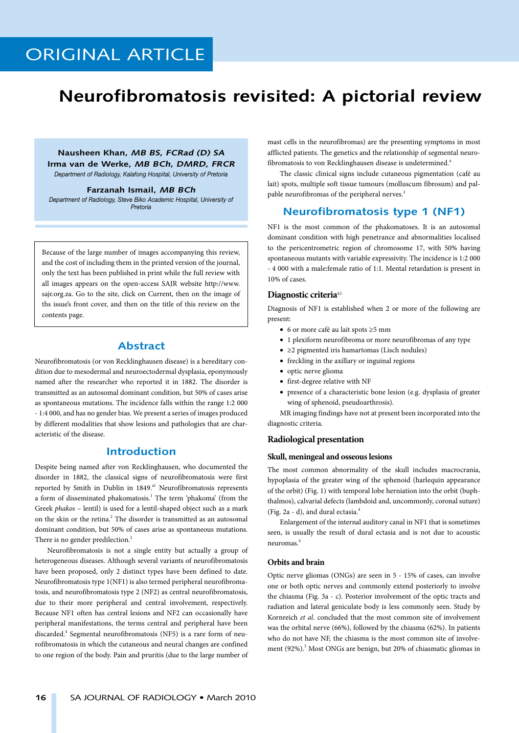### **Neurofibromatosis revisited: A pictorial review**

**Nausheen Khan, MB BS, FCRad (D) SA Irma van de Werke, MB BCh, DMRD, FRCR** *Department of Radiology, Kalafong Hospital, University of Pretoria*

**Farzanah Ismail, MB BCh** *Department of Radiology, Steve Biko Academic Hospital, University of Pretoria*

Because of the large number of images accompanying this review, and the cost of including them in the printed version of the journal, only the text has been published in print while the full review with all images appears on the open-access SAJR website http://www. sajr.org.za. Go to the site, click on Current, then on the image of ths issue's front cover, and then on the title of this review on the contents page.

#### **Abstract**

Neurofibromatosis (or von Recklinghausen disease) is a hereditary condition due to mesodermal and neuroectodermal dysplasia, eponymously named after the researcher who reported it in 1882. The disorder is transmitted as an autosomal dominant condition, but 50% of cases arise as spontaneous mutations. The incidence falls within the range 1:2 000 - 1:4 000, and has no gender bias. We present a series of images produced by different modalities that show lesions and pathologies that are characteristic of the disease.

#### **Introduction**

Despite being named after von Recklinghausen, who documented the disorder in 1882, the classical signs of neurofibromatosis were first reported by Smith in Dublin in 1849.<sup>a1</sup> Neurofibromatosis represents a form of disseminated phakomatosis.<sup>1</sup> The term 'phakoma' (from the Greek *phakos* – lentil) is used for a lentil-shaped object such as a mark on the skin or the retina.<sup>2</sup> The disorder is transmitted as an autosomal dominant condition, but 50% of cases arise as spontaneous mutations. There is no gender predilection.<sup>3</sup>

Neurofibromatosis is not a single entity but actually a group of heterogeneous diseases. Although several variants of neurofibromatosis have been proposed, only 2 distinct types have been defined to date. Neurofibromatosis type 1(NF1) is also termed peripheral neurofibromatosis, and neurofibromatosis type 2 (NF2) as central neurofibromatosis, due to their more peripheral and central involvement, respectively. Because NF1 often has central lesions and NF2 can occasionally have peripheral manifestations, the terms central and peripheral have been discarded.<sup>4</sup> Segmental neurofibromatosis (NF5) is a rare form of neurofibromatosis in which the cutaneous and neural changes are confined to one region of the body. Pain and pruritis (due to the large number of mast cells in the neurofibromas) are the presenting symptoms in most afflicted patients. The genetics and the relationship of segmental neurofibromatosis to von Recklinghausen disease is undetermined.<sup>4</sup>

The classic clinical signs include cutaneous pigmentation (café au lait) spots, multiple soft tissue tumours (molluscum fibrosum) and palpable neurofibromas of the peripheral nerves.<sup>3</sup>

#### **Neurofibromatosis type 1 (NF1)**

NF1 is the most common of the phakomatoses. It is an autosomal dominant condition with high penetrance and abnormalities localised to the pericentrometric region of chromosome 17, with 50% having spontaneous mutants with variable expressivity. The incidence is 1:2 000 - 4 000 with a male:female ratio of 1:1. Mental retardation is present in 10% of cases.

#### **Diagnostic criteria**4,5

Diagnosis of NF1 is established when 2 or more of the following are present:

- 6 or more café au lait spots ≥5 mm
- 1 plexiform neurofibroma or more neurofibromas of any type
- ≥2 pigmented iris hamartomas (Lisch nodules)
- freckling in the axillary or inguinal regions
- optic nerve glioma
- first-degree relative with NF
- presence of a characteristic bone lesion (e.g. dysplasia of greater wing of sphenoid, pseudoarthrosis).

MR imaging findings have not at present been incorporated into the diagnostic criteria.

#### **Radiological presentation**

#### **Skull, meningeal and osseous lesions**

The most common abnormality of the skull includes macrocrania, hypoplasia of the greater wing of the sphenoid (harlequin appearance of the orbit) (Fig. 1) with temporal lobe herniation into the orbit (buphthalmos), calvarial defects (lambdoid and, uncommonly, coronal suture) (Fig. 2a - d), and dural ectasia.4

Enlargement of the internal auditory canal in NF1 that is sometimes seen, is usually the result of dural ectasia and is not due to acoustic neuromas.4

#### **Orbits and brain**

Optic nerve gliomas (ONGs) are seen in 5 - 15% of cases, can involve one or both optic nerves and commonly extend posteriorly to involve the chiasma (Fig. 3a - c). Posterior involvement of the optic tracts and radiation and lateral geniculate body is less commonly seen. Study by Kornreich *et al*. concluded that the most common site of involvement was the orbital nerve (66%), followed by the chiasma (62%). In patients who do not have NF, the chiasma is the most common site of involvement (92%).<sup>5</sup> Most ONGs are benign, but 20% of chiasmatic gliomas in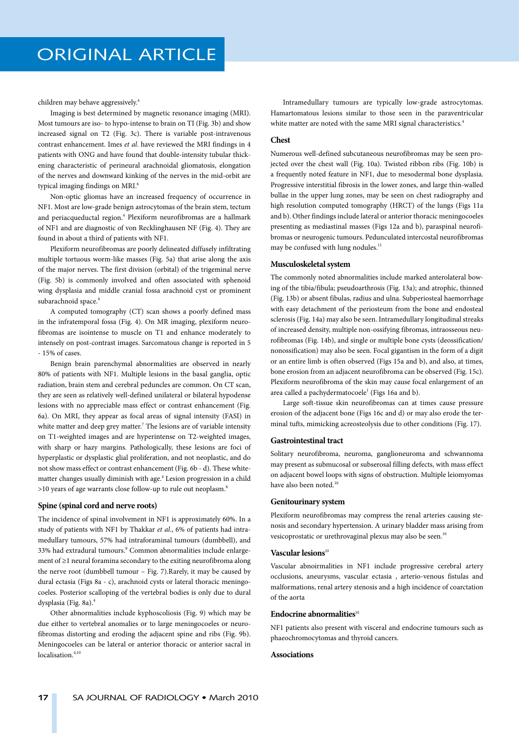children may behave aggressively.4

Imaging is best determined by magnetic resonance imaging (MRI). Most tumours are iso- to hypo-intense to brain on TI (Fig. 3b) and show increased signal on T2 (Fig. 3c). There is variable post-intravenous contrast enhancement. Imes *et al*. have reviewed the MRI findings in 4 patients with ONG and have found that double-intensity tubular thickening characteristic of perineural arachnoidal gliomatosis, elongation of the nerves and downward kinking of the nerves in the mid-orbit are typical imaging findings on MRI.<sup>6</sup>

Non-optic gliomas have an increased frequency of occurrence in NF1. Most are low-grade benign astrocytomas of the brain stem, tectum and periacqueductal region.<sup>4</sup> Plexiform neurofibromas are a hallmark of NF1 and are diagnostic of von Recklinghausen NF (Fig. 4). They are found in about a third of patients with NF1.

Plexiform neurofibromas are poorly delineated diffusely infiltrating multiple tortuous worm-like masses (Fig. 5a) that arise along the axis of the major nerves. The first division (orbital) of the trigeminal nerve (Fig. 5b) is commonly involved and often associated with sphenoid wing dysplasia and middle cranial fossa arachnoid cyst or prominent subarachnoid space.<sup>4</sup>

A computed tomography (CT) scan shows a poorly defined mass in the infratemporal fossa (Fig. 4). On MR imaging, plexiform neurofibromas are isointense to muscle on T1 and enhance moderately to intensely on post-contrast images. Sarcomatous change is reported in 5 - 15% of cases.

Benign brain parenchymal abnormalities are observed in nearly 80% of patients with NF1. Multiple lesions in the basal ganglia, optic radiation, brain stem and cerebral peduncles are common. On CT scan, they are seen as relatively well-defined unilateral or bilateral hypodense lesions with no appreciable mass effect or contrast enhancement (Fig. 6a). On MRI, they appear as focal areas of signal intensity (FASI) in white matter and deep grey matter.<sup>7</sup> The lesions are of variable intensity on T1-weighted images and are hyperintense on T2-weighted images, with sharp or hazy margins. Pathologically, these lesions are foci of hyperplastic or dysplastic glial proliferation, and not neoplastic, and do not show mass effect or contrast enhancement (Fig. 6b - d). These whitematter changes usually diminish with age.<sup>4</sup> Lesion progression in a child >10 years of age warrants close follow-up to rule out neoplasm.8

#### **Spine (spinal cord and nerve roots)**

The incidence of spinal involvement in NF1 is approximately 60%. In a study of patients with NF1 by Thakkar *et al*., 6% of patients had intramedullary tumours, 57% had intraforaminal tumours (dumbbell), and 33% had extradural tumours.<sup>9</sup> Common abnormalities include enlargement of ≥1 neural foramina secondary to the exiting neurofibroma along the nerve root (dumbbell tumour – Fig. 7).Rarely, it may be caused by dural ectasia (Figs 8a - c), arachnoid cysts or lateral thoracic meningocoeles. Posterior scalloping of the vertebral bodies is only due to dural dysplasia (Fig. 8a).4

Other abnormalities include kyphoscoliosis (Fig. 9) which may be due either to vertebral anomalies or to large meningocoeles or neurofibromas distorting and eroding the adjacent spine and ribs (Fig. 9b). Meningocoeles can be lateral or anterior thoracic or anterior sacral in localisation.<sup>4,10</sup>

Intramedullary tumours are typically low-grade astrocytomas. Hamartomatous lesions similar to those seen in the paraventricular white matter are noted with the same MRI signal characteristics.<sup>4</sup>

#### **Chest**

Numerous well-defined subcutaneous neurofibromas may be seen projected over the chest wall (Fig. 10a). Twisted ribbon ribs (Fig. 10b) is a frequently noted feature in NF1, due to mesodermal bone dysplasia. Progressive interstitial fibrosis in the lower zones, and large thin-walled bullae in the upper lung zones, may be seen on chest radiography and high resolution computed tomography (HRCT) of the lungs (Figs 11a and b). Other findings include lateral or anterior thoracic meningocoeles presenting as mediastinal masses (Figs 12a and b), paraspinal neurofibromas or neurogenic tumours. Pedunculated intercostal neurofibromas may be confused with lung nodules.<sup>11</sup>

#### **Musculoskeletal system**

The commonly noted abnormalities include marked anterolateral bowing of the tibia/fibula; pseudoarthrosis (Fig. 13a); and atrophic, thinned (Fig. 13b) or absent fibulas, radius and ulna. Subperiosteal haemorrhage with easy detachment of the periosteum from the bone and endosteal sclerosis (Fig. 14a) may also be seen. Intramedullary longitudinal streaks of increased density, multiple non-ossifying fibromas, intraosseous neurofibromas (Fig. 14b), and single or multiple bone cysts (deossification/ nonossification) may also be seen. Focal gigantism in the form of a digit or an entire limb is often observed (Figs 15a and b), and also, at times, bone erosion from an adjacent neurofibroma can be observed (Fig. 15c). Plexiform neurofibroma of the skin may cause focal enlargement of an area called a pachydermatocoele<sup>1</sup> (Figs 16a and b).

Large soft-tissue skin neurofibromas can at times cause pressure erosion of the adjacent bone (Figs 16c and d) or may also erode the terminal tufts, mimicking acreosteolysis due to other conditions (Fig. 17).

#### **Gastrointestinal tract**

Solitary neurofibroma, neuroma, ganglioneuroma and schwannoma may present as submucosal or subserosal filling defects, with mass effect on adjacent bowel loops with signs of obstruction. Multiple leiomyomas have also been noted.<sup>10</sup>

#### **Genitourinary system**

Plexiform neurofibromas may compress the renal arteries causing stenosis and secondary hypertension. A urinary bladder mass arising from vesicoprostatic or urethrovaginal plexus may also be seen.<sup>10</sup>

#### **Vascular lesions**<sup>10</sup>

Vascular abnoirmalities in NF1 include progressive cerebral artery occlusions, aneurysms, vascular ectasia , arterio-venous fistulas and malformations, renal artery stenosis and a high incidence of coarctation of the aorta

#### **Endocrine abnormalities**<sup>10</sup>

NF1 patients also present with visceral and endocrine tumours such as phaeochromocytomas and thyroid cancers.

#### **Associations**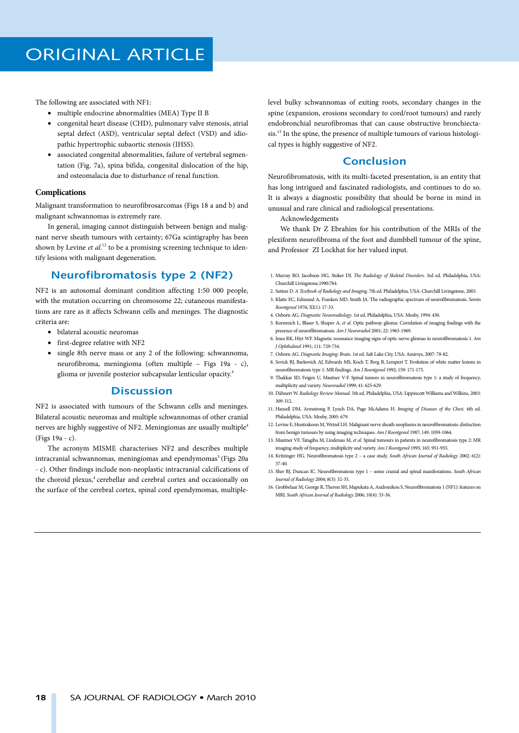The following are associated with NF1:

- multiple endocrine abnormalities (MEA) Type II B
- congenital heart disease (CHD), pulmonary valve stenosis, atrial septal defect (ASD), ventricular septal defect (VSD) and idiopathic hypertrophic subaortic stenosis (IHSS).
- associated congenital abnormalities, failure of vertebral segmentation (Fig. 7a), spina bifida, congenital dislocation of the hip, and osteomalacia due to disturbance of renal function.

#### **Complications**

Malignant transformation to neurofibrosarcomas (Figs 18 a and b) and malignant schwannomas is extremely rare.

In general, imaging cannot distinguish between benign and malignant nerve sheath tumours with certainty; 67Ga scintigraphy has been shown by Levine et al.<sup>12</sup> to be a promising screening technique to identify lesions with malignant degeneration.

#### **Neurofibromatosis type 2 (NF2)**

NF2 is an autosomal dominant condition affecting 1:50 000 people, with the mutation occurring on chromosome 22; cutaneous manifestations are rare as it affects Schwann cells and meninges. The diagnostic criteria are:

- bilateral acoustic neuromas
- first-degree relative with NF2
- single 8th nerve mass or any 2 of the following: schwannoma, neurofibroma, meningioma (often multiple – Figs 19a - c), glioma or juvenile posterior subcapsular lenticular opacity.4

#### **Discussion**

NF2 is associated with tumours of the Schwann cells and meninges. Bilateral acoustic neuromas and multiple schwannomas of other cranial nerves are highly suggestive of NF2. Meningiomas are usually multiple<sup>4</sup> (Figs 19a - c).

The acronym MISME characterises NF2 and describes multiple intracranial schwannomas, meningiomas and ependymomas<sup>5</sup> (Figs 20a - c). Other findings include non-neoplastic intracranial calcifications of the choroid plexus,<sup>4</sup> cerebellar and cerebral cortex and occasionally on the surface of the cerebral cortex, spinal cord ependymomas, multiplelevel bulky schwannomas of exiting roots, secondary changes in the spine (expansion, erosions secondary to cord/root tumours) and rarely endobronchial neurofibromas that can cause obstructive bronchiectasis.13 In the spine, the presence of multiple tumours of various histological types is highly suggestive of NF2.

#### **Conclusion**

Neurofibromatosis, with its multi-faceted presentation, is an entity that has long intrigued and fascinated radiologists, and continues to do so. It is always a diagnostic possibility that should be borne in mind in unusual and rare clinical and radiological presentations.

Acknowledgements

We thank Dr Z Ebrahim for his contribution of the MRIs of the plexiform neurofibroma of the foot and dumbbell tumour of the spine, and Professor ZI Lockhat for her valued input.

- 1. Murray RO, Jacobson HG, Stoker DJ. *The Radiology of Skeletal Disorders*. 3rd ed. Philadelphia, USA: Churchill Livingstone,1990:784.
- 2. Sutton D. *A Textbook of Radiology and Imaging*. 7th ed. Philadelphia, USA: Churchill Livingstone, 2003. 3. Klatte EC, Edmund A, Franken MD, Smith JA. The radiographic spectrum of neurofibromatosis. *Semin Roentgenol* 1976; XI(1): 17-33.
- 4. Osborn AG. *Diagnostic Neuroradiology*. 1st ed. Philadelphia, USA: Mosby, 1994: 430.
- 5. Kornreich L, Blaser S, Shuper A, *et al*. Optic pathway glioma: Correlation of imaging findings with the presence of neurofibromatosis. *Am J Neuroradiol* 2001; 22: 1963-1969.
- 6. Imes RK, Hiyt WF. Magnetic resonance imaging signs of optic nerve gliomas in neurofibromatosis 1. *Am J Ophthalmol* 1991; 111: 729-734.
- 7. Osborn AG. *Diagnostic Imaging: Brain*. 1st ed. Salt Lake City, USA: Amirsys, 2007: 78-82.
- 8. Sevick RJ, Barkovich AJ, Edwards MS, Koch T, Berg B, Lempert T. Evolution of white matter lesions in neurofibromatosis type 1: MR findings. *Am J Roentgenol* 1992; 159: 171-175.
- 9. Thakkar SD, Feigen U, Mautner V-F. Spinal tumors in neurofibromatosis type 1: a study of frequency, multiplicity and variety. *Neuroradiol* 1999; 41: 625-629.
- 10. Dähnert W. *Radiology Review Manual*. 5th ed. Philadelphia, USA: Lippincott Williams and Wilkins, 2003: 309-312.
- 11. Hansell DM, Armstrong P, Lynch DA, Page McAdams H. *Imaging of Diseases of the Chest*. 4th ed. Philadelphia, USA: Mosby, 2005: 679.
- 12. Levine E, Huntrakoon M, Wetzel LH. Malignant nerve sheath neoplasms in neurofibromatosis: distinction from benign tumours by using imaging techniques. *Am J Roentgenol* 1987; 149: 1059-1064.
- 13. Mautner VF, Tatagiba M, Lindenau M, *et al*. Spinal tumours in patients in neurofibromatosis type 2: MR imaging study of frequency, multiplicity and variety. *Am J Roentgenol* 1995; 165: 951-955.
- 14. Kritzinger HG. Neurofibromatosis type 2 a case study. *South African Journal of Radiology* 2002; 6(2): 37-40.
- 15. Sher BJ, Duncan IC. Neurofibromatosis type 1 some cranial and spinal manifestations. *South African Journal of Radiology* 2004; 8(3): 32-35.
- 16. Grobbelaar M, George R, Theron SH, Mapukata A, Andronikou S. Neurofibromatosis 1 (NF1): features on MRI. *South African Journal of Radiology* 2006; 10(4): 33-36.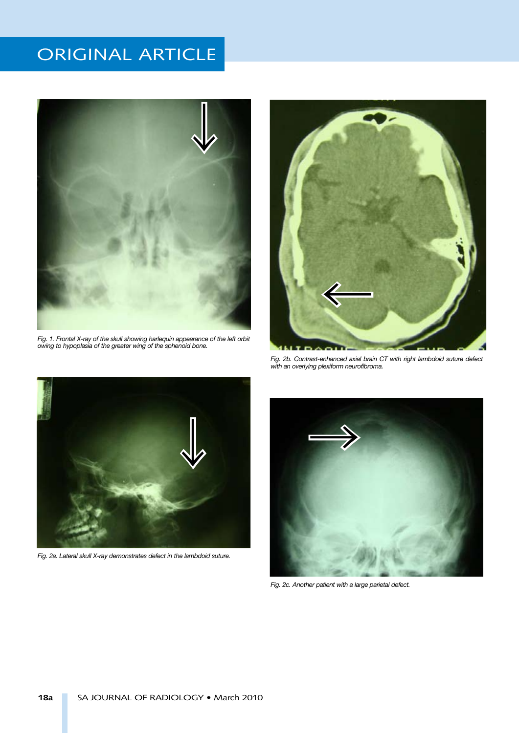

Fig. 1. Frontal X-ray of the skull showing harlequin appearance of the left orbit *owing to hypoplasia of the greater wing of the sphenoid bone.*



*Fig. 2b. Contrast-enhanced axial brain CT with right lambdoid suture defect with an overlying plexiform neurofibroma.*



*Fig. 2a. Lateral skull X-ray demonstrates defect in the lambdoid suture.*



*Fig. 2c. Another patient with a large parietal defect.*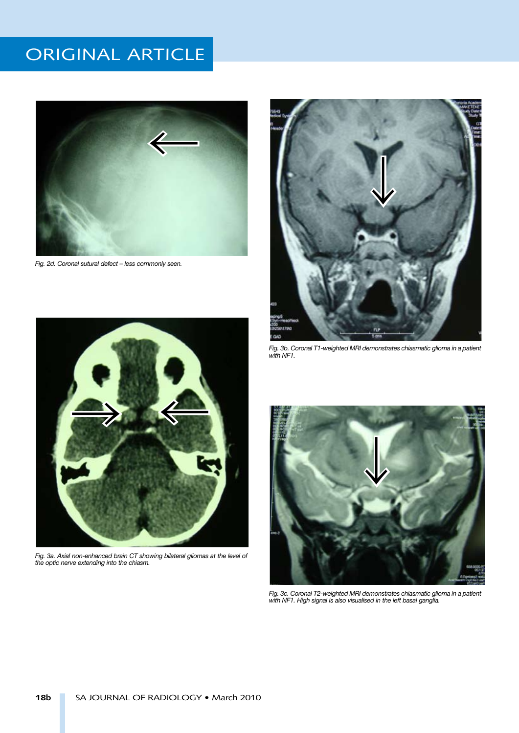

*Fig. 2d. Coronal sutural defect – less commonly seen.*



*Fig. 3b. Coronal T1-weighted MRI demonstrates chiasmatic glioma in a patient with NF1.*



*Fig. 3a. Axial non-enhanced brain CT showing bilateral gliomas at the level of the optic nerve extending into the chiasm.*



*Fig. 3c. Coronal T2-weighted MRI demonstrates chiasmatic glioma in a patient with NF1. High signal is also visualised in the left basal ganglia.*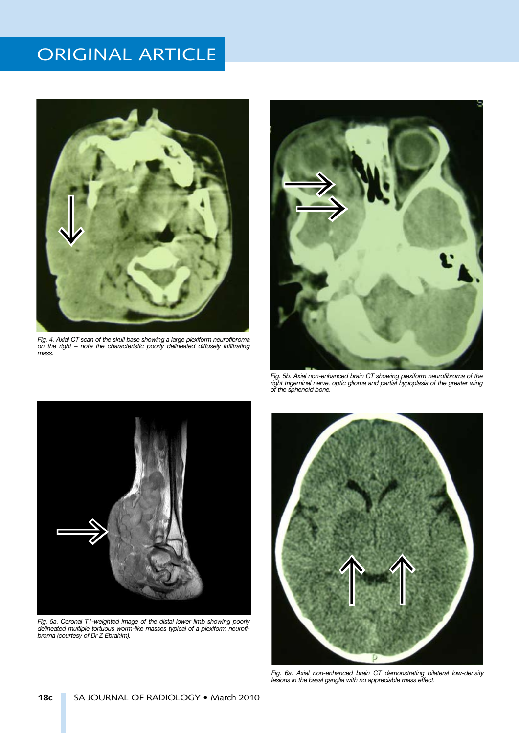

*Fig. 4. Axial CT scan of the skull base showing a large plexiform neurofibroma on the right – note the characteristic poorly delineated diffusely infiltrating mass.*



*Fig. 5b. Axial non-enhanced brain CT showing plexiform neurofibroma of the*  right trigeminal nerve, optic glioma and partial hypoplasia of the greater wing *of the sphenoid bone.*



*Fig. 5a. Coronal T1-weighted image of the distal lower limb showing poorly delineated multiple tortuous worm-like masses typical of a plexiform neurofibroma (courtesy of Dr Z Ebrahim).*



*Fig. 6a. Axial non-enhanced brain CT demonstrating bilateral low-density lesions in the basal ganglia with no appreciable mass effect.*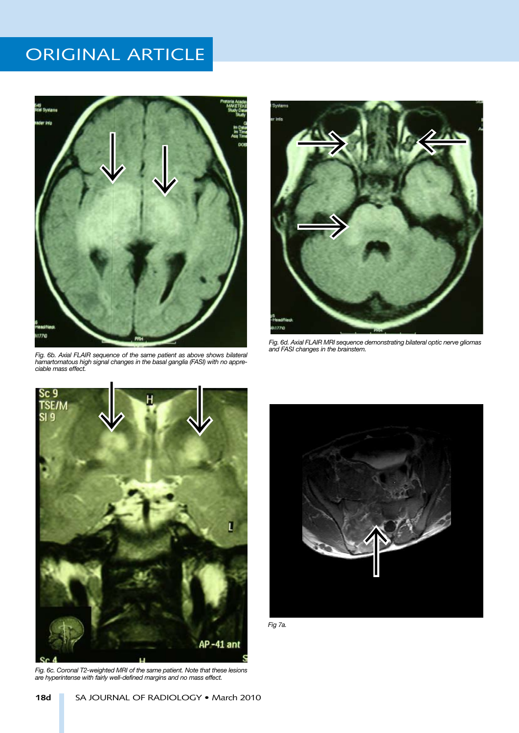

*Fig. 6b. Axial FLAIR sequence of the same patient as above shows bilateral hamartomatous high signal changes in the basal ganglia (FASI) with no appreciable mass effect.*



*Fig. 6d. Axial FLAIR MRI sequence demonstrating bilateral optic nerve gliomas and FASI changes in the brainstem.*



*Fig. 6c. Coronal T2-weighted MRI of the same patient. Note that these lesions are hyperintense with fairly well-defined margins and no mass effect.*



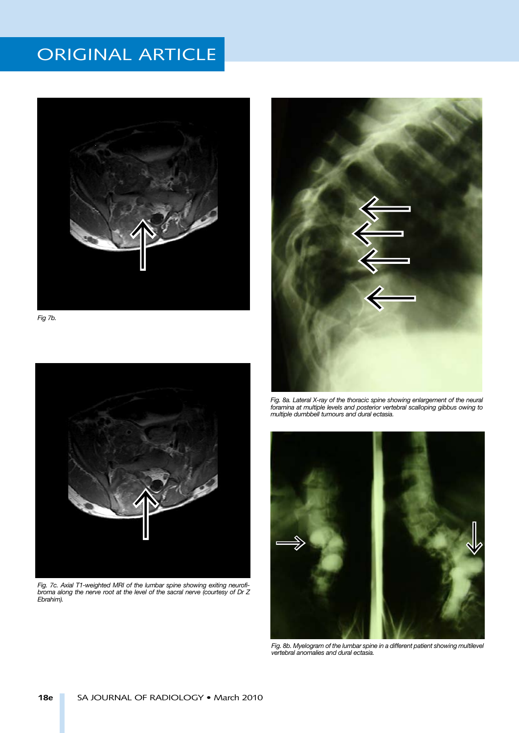

*Fig 7b.*



*Fig. 7c. Axial T1-weighted MRI of the lumbar spine showing exiting neurofibroma along the nerve root at the level of the sacral nerve (courtesy of Dr Z Ebrahim).*



*Fig. 8a. Lateral X-ray of the thoracic spine showing enlargement of the neural*  foramina at multiple levels and posterior vertebral scalloping gibbus owing to *multiple dumbbell tumours and dural ectasia.*



Fig. 8b. Myelogram of the lumbar spine in a different patient showing multilevel *vertebral anomalies and dural ectasia.*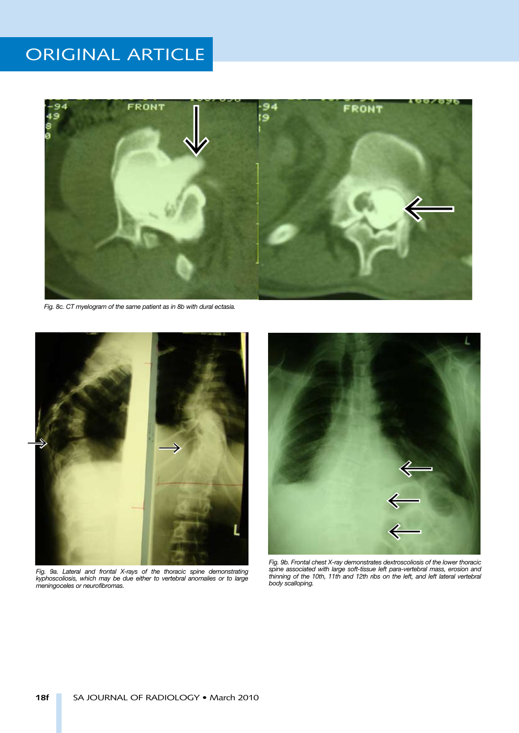

*Fig. 8c. CT myelogram of the same patient as in 8b with dural ectasia.*



*Fig. 9a. Lateral and frontal X-rays of the thoracic spine demonstrating kyphoscoliosis, which may be due either to vertebral anomalies or to large meningoceles or neurofibromas.*



*Fig. 9b. Frontal chest X-ray demonstrates dextroscoliosis of the lower thoracic spine associated with large soft-tissue left para-vertebral mass, erosion and*  thinning of the 10th, 11th and 12th ribs on the left, and left lateral vertebral *body scalloping.*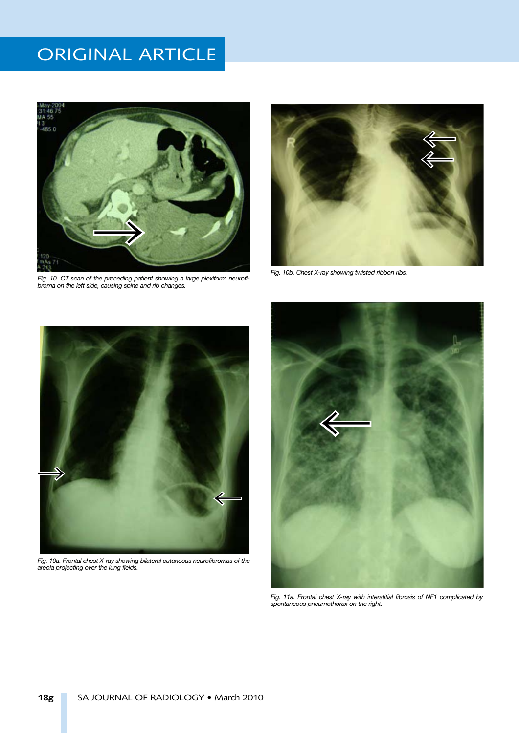

*Fig. 10. CT scan of the preceding patient showing a large plexiform neurofibroma on the left side, causing spine and rib changes.*



*Fig. 10b. Chest X-ray showing twisted ribbon ribs.*



*Fig. 10a. Frontal chest X-ray showing bilateral cutaneous neurofibromas of the areola projecting over the lung fields.*



*Fig. 11a. Frontal chest X-ray with interstitial fibrosis of NF1 complicated by spontaneous pneumothorax on the right.*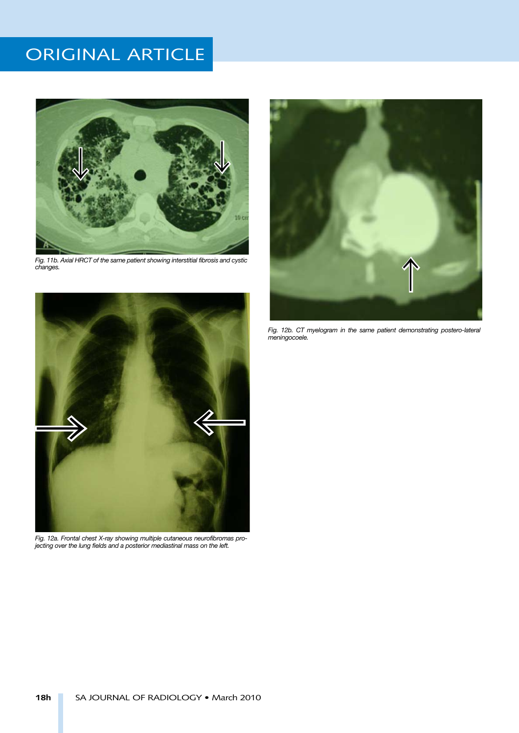

*Fig. 11b. Axial HRCT of the same patient showing interstitial fibrosis and cystic changes.*



*Fig. 12a. Frontal chest X-ray showing multiple cutaneous neurofibromas projecting over the lung fields and a posterior mediastinal mass on the left.*



Fig. 12b. CT myelogram in the same patient demonstrating postero-lateral *meningocoele.*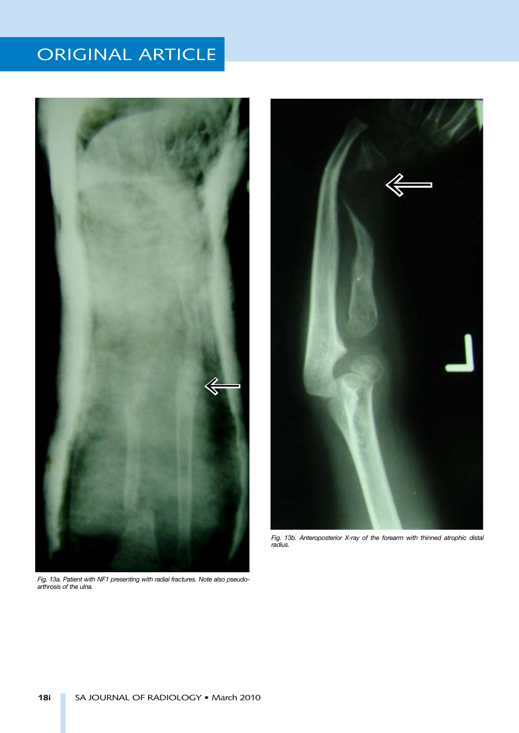

*Fig. 13a. Patient with NF1 presenting with radial fractures. Note also pseudoarthrosis of the ulna.*



*Fig. 13b. Anteroposterior X-ray of the forearm with thinned atrophic distal radius.*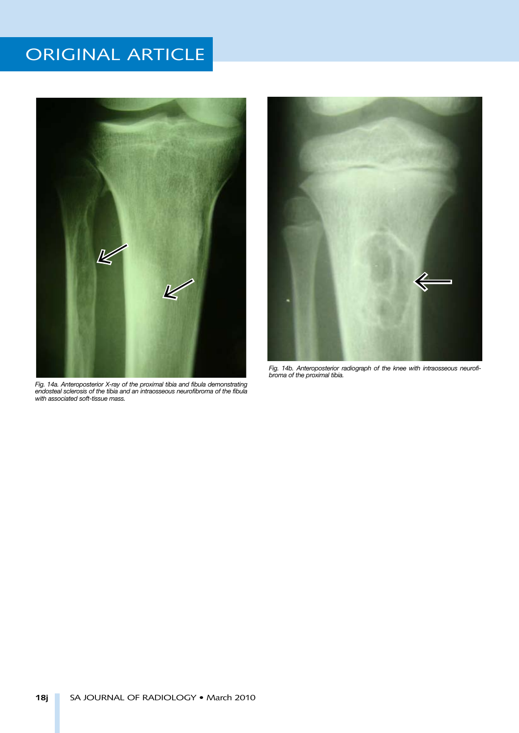

*Fig. 14a. Anteroposterior X-ray of the proximal tibia and fibula demonstrating endosteal sclerosis of the tibia and an intraosseous neurofibroma of the fibula with associated soft-tissue mass.*



*Fig. 14b. Anteroposterior radiograph of the knee with intraosseous neurofibroma of the proximal tibia.*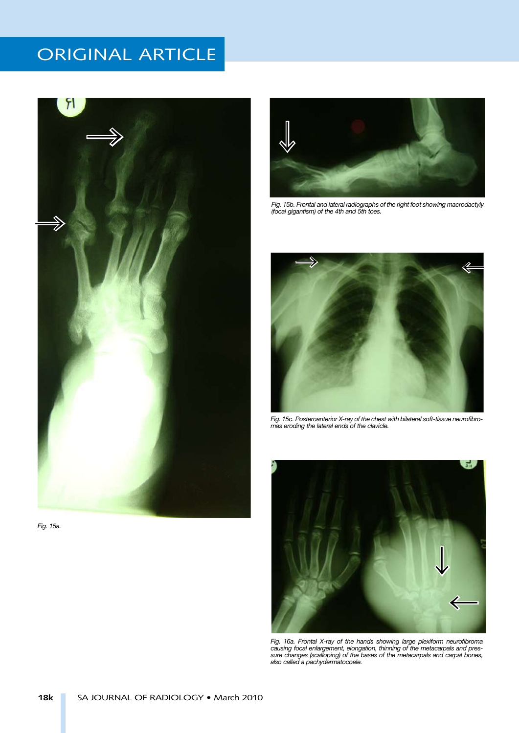

*Fig. 15a.*



*Fig. 15b. Frontal and lateral radiographs of the right foot showing macrodactyly (focal gigantism) of the 4th and 5th toes.*



*Fig. 15c. Posteroanterior X-ray of the chest with bilateral soft-tissue neurofibromas eroding the lateral ends of the clavicle.*



*Fig. 16a. Frontal X-ray of the hands showing large plexiform neurofibroma causing focal enlargement, elongation, thinning of the metacarpals and pressure changes (scalloping) of the bases of the metacarpals and carpal bones, also called a pachydermatocoele.*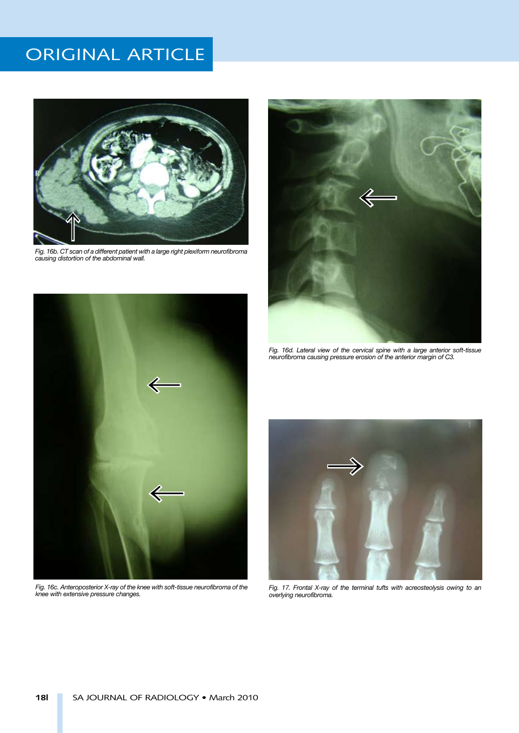

*Fig. 16b. CT scan of a different patient with a large right plexiform neurofibroma causing distortion of the abdominal wall.*



*Fig. 16c. Anteroposterior X-ray of the knee with soft-tissue neurofibroma of the knee with extensive pressure changes.*



*Fig. 16d. Lateral view of the cervical spine with a large anterior soft-tissue neurofibroma causing pressure erosion of the anterior margin of C3.*



*Fig. 17. Frontal X-ray of the terminal tufts with acreosteolysis owing to an overlying neurofibroma.*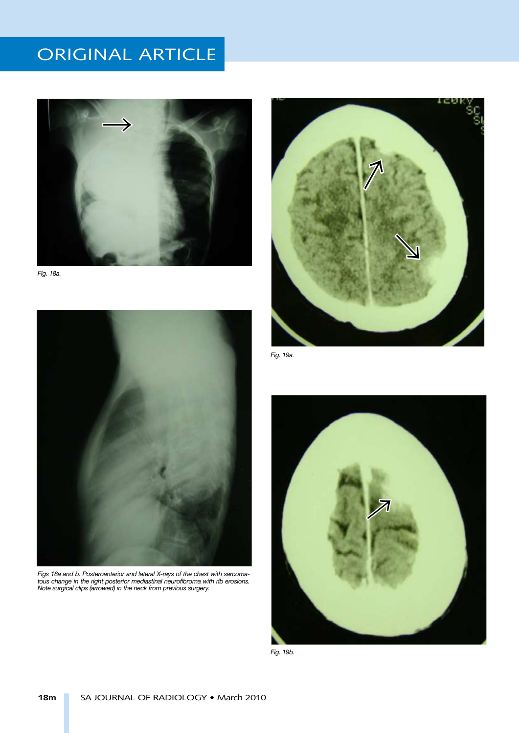

*Fig. 18a.*



*Figs 18a and b. Posteroanterior and lateral X-rays of the chest with sarcomatous change in the right posterior mediastinal neurofibroma with rib erosions. Note surgical clips (arrowed) in the neck from previous surgery.*



*Fig. 19a.*



*Fig. 19b.*